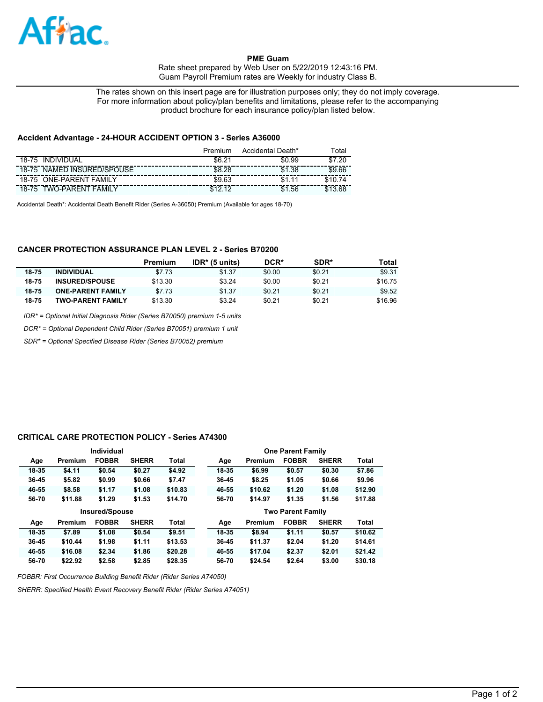

**PME Guam**  Rate sheet prepared by Web User on 5/22/2019 12:43:16 PM. Guam Payroll Premium rates are Weekly for industry Class B.

The rates shown on this insert page are for illustration purposes only; they do not imply coverage. For more information about policy/plan benefits and limitations, please refer to the accompanying product brochure for each insurance policy/plan listed below.

### **Accident Advantage - 24-HOUR ACCIDENT OPTION 3 - Series A36000**

|                                          | Premium    | Accidental Death* | ™otal                         |
|------------------------------------------|------------|-------------------|-------------------------------|
| <b>INDIVIDUAL</b><br>18-75               | \$6.2<br>ີ | \$0.99            | .2 <sup>c</sup><br><b>C</b> 7 |
| NAMED INSURED/SPOUSE<br>$18 - 75$        | \$8.28     | \$1<br>.38        | \$9.66                        |
| <b>ONE-PARENT FAMILY</b><br>$18 - 75$    | \$9.63     | \$1               |                               |
| TWO-PARENT<br><b>FAMILY</b><br>$18 - 75$ |            | .56<br>\$1        |                               |

Accidental Death\*: Accidental Death Benefit Rider (Series A-36050) Premium (Available for ages 18-70)

## **CANCER PROTECTION ASSURANCE PLAN LEVEL 2 - Series B70200**

|           |                          | Premium | $IDR*$ (5 units) | DCR*   | SDR*   | Total   |
|-----------|--------------------------|---------|------------------|--------|--------|---------|
| $18 - 75$ | <b>INDIVIDUAL</b>        | \$7.73  | \$1.37           | \$0.00 | \$0.21 | \$9.31  |
| 18-75     | <b>INSURED/SPOUSE</b>    | \$13.30 | \$3.24           | \$0.00 | \$0.21 | \$16.75 |
| 18-75     | <b>ONE-PARENT FAMILY</b> | \$7.73  | \$1.37           | \$0.21 | \$0.21 | \$9.52  |
| 18-75     | <b>TWO-PARENT FAMILY</b> | \$13.30 | \$3.24           | \$0.21 | \$0.21 | \$16.96 |

*IDR\* = Optional Initial Diagnosis Rider (Series B70050) premium 1-5 units*

*DCR\* = Optional Dependent Child Rider (Series B70051) premium 1 unit*

*SDR\* = Optional Specified Disease Rider (Series B70052) premium*

#### **CRITICAL CARE PROTECTION POLICY - Series A74300**

|           |         | Individual            |              |              |       |         | <b>One Parent Family</b> |              |         |
|-----------|---------|-----------------------|--------------|--------------|-------|---------|--------------------------|--------------|---------|
| Age       | Premium | <b>FOBBR</b>          | <b>SHERR</b> | <b>Total</b> | Age   | Premium | <b>FOBBR</b>             | <b>SHERR</b> | Total   |
| 18-35     | \$4.11  | \$0.54                | \$0.27       | \$4.92       | 18-35 | \$6.99  | \$0.57                   | \$0.30       | \$7.86  |
| $36 - 45$ | \$5.82  | \$0.99                | \$0.66       | \$7.47       | 36-45 | \$8.25  | \$1.05                   | \$0.66       | \$9.96  |
| 46-55     | \$8.58  | \$1.17                | \$1.08       | \$10.83      | 46-55 | \$10.62 | \$1,20                   | \$1.08       | \$12.90 |
| 56-70     | \$11.88 | \$1.29                | \$1.53       | \$14.70      | 56-70 | \$14.97 | \$1.35                   | \$1.56       | \$17.88 |
|           |         |                       |              |              |       |         |                          |              |         |
|           |         | <b>Insured/Spouse</b> |              |              |       |         | <b>Two Parent Family</b> |              |         |
| Age       | Premium | <b>FOBBR</b>          | <b>SHERR</b> | <b>Total</b> | Age   | Premium | <b>FOBBR</b>             | <b>SHERR</b> | Total   |
| 18-35     | \$7.89  | \$1.08                | \$0.54       | \$9.51       | 18-35 | \$8.94  | \$1.11                   | \$0.57       | \$10.62 |
| $36 - 45$ | \$10.44 | \$1.98                | \$1.11       | \$13.53      | 36-45 | \$11.37 | \$2.04                   | \$1,20       | \$14.61 |
| 46-55     | \$16.08 | \$2.34                | \$1.86       | \$20.28      | 46-55 | \$17.04 | \$2.37                   | \$2.01       | \$21.42 |

*FOBBR: First Occurrence Building Benefit Rider (Rider Series A74050)*

*SHERR: Specified Health Event Recovery Benefit Rider (Rider Series A74051)*